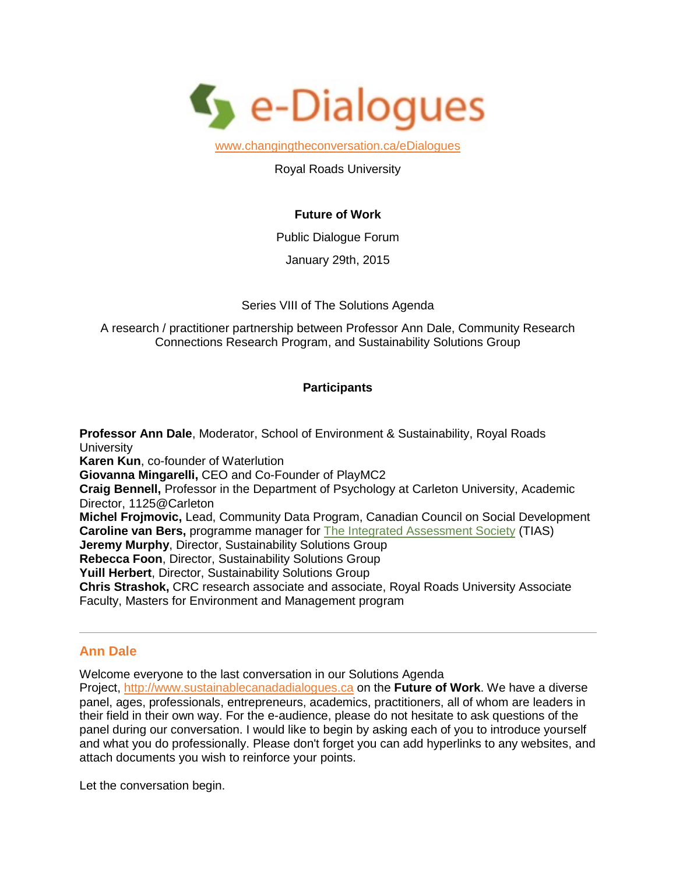

[www.changingtheconversation.ca/eDialogues](http://www.e-dialogues.ca/)

Royal Roads University

# **Future of Work**

Public Dialogue Forum

January 29th, 2015

Series VIII of The Solutions Agenda

A research / practitioner partnership between Professor Ann Dale, Community Research Connections Research Program, and Sustainability Solutions Group

# **Participants**

**Professor Ann Dale**, Moderator, School of Environment & Sustainability, Royal Roads **University Karen Kun**, co-founder of Waterlution **Giovanna Mingarelli,** CEO and Co-Founder of PlayMC2 **Craig Bennell,** Professor in the Department of Psychology at Carleton University, Academic Director, 1125@Carleton **Michel Frojmovic,** Lead, Community Data Program, Canadian Council on Social Development **Caroline van Bers,** programme manager for [The Integrated Assessment Society](http://www.tias-web.info/) (TIAS) **Jeremy Murphy**, Director, Sustainability Solutions Group **Rebecca Foon**, Director, Sustainability Solutions Group **Yuill Herbert**, Director, Sustainability Solutions Group **Chris Strashok,** CRC research associate and associate, Royal Roads University Associate Faculty, Masters for Environment and Management program

# **Ann Dale**

Welcome everyone to the last conversation in our Solutions Agenda

Project, [http://www.sustainablecanadadialogues.ca](http://www.sustainablecanadadialogues.ca/) on the **Future of Work**. We have a diverse panel, ages, professionals, entrepreneurs, academics, practitioners, all of whom are leaders in their field in their own way. For the e-audience, please do not hesitate to ask questions of the panel during our conversation. I would like to begin by asking each of you to introduce yourself and what you do professionally. Please don't forget you can add hyperlinks to any websites, and attach documents you wish to reinforce your points.

Let the conversation begin.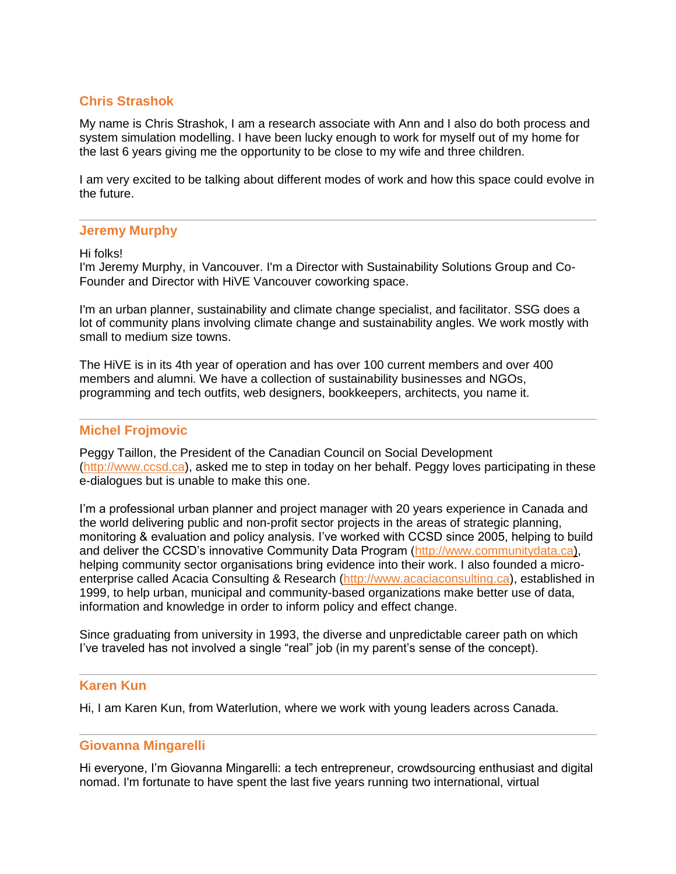# **Chris Strashok**

My name is Chris Strashok, I am a research associate with Ann and I also do both process and system simulation modelling. I have been lucky enough to work for myself out of my home for the last 6 years giving me the opportunity to be close to my wife and three children.

I am very excited to be talking about different modes of work and how this space could evolve in the future.

#### **Jeremy Murphy**

Hi folks!

I'm Jeremy Murphy, in Vancouver. I'm a Director with Sustainability Solutions Group and Co-Founder and Director with HiVE Vancouver coworking space.

I'm an urban planner, sustainability and climate change specialist, and facilitator. SSG does a lot of community plans involving climate change and sustainability angles. We work mostly with small to medium size towns.

The HiVE is in its 4th year of operation and has over 100 current members and over 400 members and alumni. We have a collection of sustainability businesses and NGOs, programming and tech outfits, web designers, bookkeepers, architects, you name it.

### **Michel Frojmovic**

Peggy Taillon, the President of the Canadian Council on Social Development [\(http://www.ccsd.ca\)](http://www.ccsd.ca/), asked me to step in today on her behalf. Peggy loves participating in these e-dialogues but is unable to make this one.

I'm a professional urban planner and project manager with 20 years experience in Canada and the world delivering public and non-profit sector projects in the areas of strategic planning, monitoring & evaluation and policy analysis. I've worked with CCSD since 2005, helping to build and deliver the CCSD's innovative Community Data Program (http://www.communitydata.ca), helping community sector organisations bring evidence into their work. I also founded a microenterprise called Acacia Consulting & Research [\(http://www.acaciaconsulting.ca\)](http://www.acaciaconsulting.ca/), established in 1999, to help urban, municipal and community-based organizations make better use of data, information and knowledge in order to inform policy and effect change.

Since graduating from university in 1993, the diverse and unpredictable career path on which I've traveled has not involved a single "real" job (in my parent's sense of the concept).

### **Karen Kun**

Hi, I am Karen Kun, from Waterlution, where we work with young leaders across Canada.

# **Giovanna Mingarelli**

Hi everyone, I'm Giovanna Mingarelli: a tech entrepreneur, crowdsourcing enthusiast and digital nomad. I'm fortunate to have spent the last five years running two international, virtual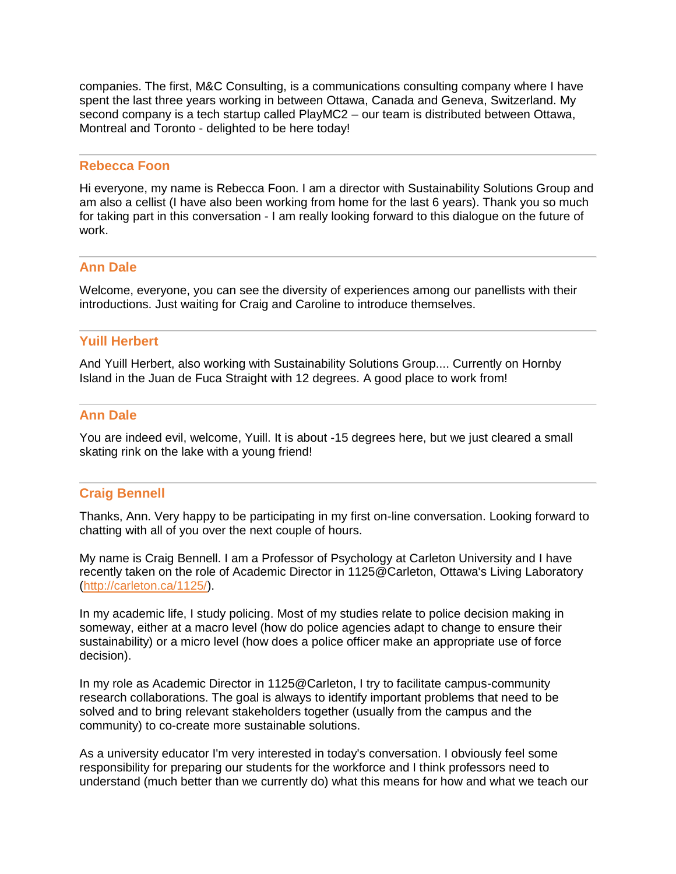companies. The first, M&C Consulting, is a communications consulting company where I have spent the last three years working in between Ottawa, Canada and Geneva, Switzerland. My second company is a tech startup called PlayMC2 – our team is distributed between Ottawa, Montreal and Toronto - delighted to be here today!

#### **Rebecca Foon**

Hi everyone, my name is Rebecca Foon. I am a director with Sustainability Solutions Group and am also a cellist (I have also been working from home for the last 6 years). Thank you so much for taking part in this conversation - I am really looking forward to this dialogue on the future of work.

#### **Ann Dale**

Welcome, everyone, you can see the diversity of experiences among our panellists with their introductions. Just waiting for Craig and Caroline to introduce themselves.

#### **Yuill Herbert**

And Yuill Herbert, also working with Sustainability Solutions Group.... Currently on Hornby Island in the Juan de Fuca Straight with 12 degrees. A good place to work from!

# **Ann Dale**

You are indeed evil, welcome, Yuill. It is about -15 degrees here, but we just cleared a small skating rink on the lake with a young friend!

#### **Craig Bennell**

Thanks, Ann. Very happy to be participating in my first on-line conversation. Looking forward to chatting with all of you over the next couple of hours.

My name is Craig Bennell. I am a Professor of Psychology at Carleton University and I have recently taken on the role of Academic Director in 1125@Carleton, Ottawa's Living Laboratory [\(http://carleton.ca/1125/\)](http://carleton.ca/1125/).

In my academic life, I study policing. Most of my studies relate to police decision making in someway, either at a macro level (how do police agencies adapt to change to ensure their sustainability) or a micro level (how does a police officer make an appropriate use of force decision).

In my role as Academic Director in 1125@Carleton, I try to facilitate campus-community research collaborations. The goal is always to identify important problems that need to be solved and to bring relevant stakeholders together (usually from the campus and the community) to co-create more sustainable solutions.

As a university educator I'm very interested in today's conversation. I obviously feel some responsibility for preparing our students for the workforce and I think professors need to understand (much better than we currently do) what this means for how and what we teach our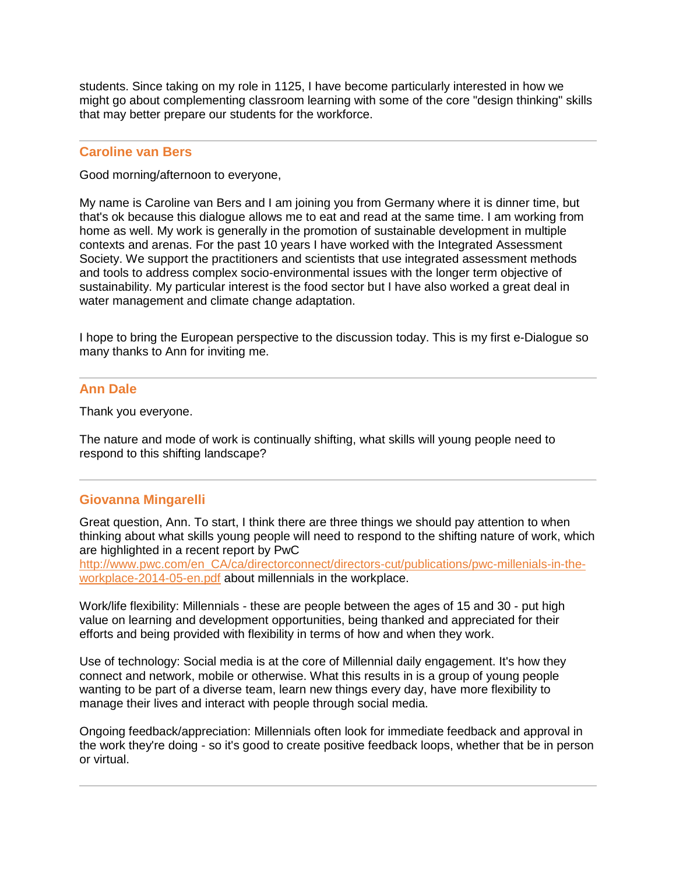students. Since taking on my role in 1125, I have become particularly interested in how we might go about complementing classroom learning with some of the core "design thinking" skills that may better prepare our students for the workforce.

### **Caroline van Bers**

Good morning/afternoon to everyone,

My name is Caroline van Bers and I am joining you from Germany where it is dinner time, but that's ok because this dialogue allows me to eat and read at the same time. I am working from home as well. My work is generally in the promotion of sustainable development in multiple contexts and arenas. For the past 10 years I have worked with the Integrated Assessment Society. We support the practitioners and scientists that use integrated assessment methods and tools to address complex socio-environmental issues with the longer term objective of sustainability. My particular interest is the food sector but I have also worked a great deal in water management and climate change adaptation.

I hope to bring the European perspective to the discussion today. This is my first e-Dialogue so many thanks to Ann for inviting me.

### **Ann Dale**

Thank you everyone.

The nature and mode of work is continually shifting, what skills will young people need to respond to this shifting landscape?

# **Giovanna Mingarelli**

Great question, Ann. To start, I think there are three things we should pay attention to when thinking about what skills young people will need to respond to the shifting nature of work, which are highlighted in a recent report by PwC

[http://www.pwc.com/en\\_CA/ca/directorconnect/directors-cut/publications/pwc-millenials-in-the](http://www.pwc.com/en_CA/ca/directorconnect/directors-cut/publications/pwc-millenials-in-the-workplace-2014-05-en.pdf)[workplace-2014-05-en.pdf](http://www.pwc.com/en_CA/ca/directorconnect/directors-cut/publications/pwc-millenials-in-the-workplace-2014-05-en.pdf) about millennials in the workplace.

Work/life flexibility: Millennials - these are people between the ages of 15 and 30 - put high value on learning and development opportunities, being thanked and appreciated for their efforts and being provided with flexibility in terms of how and when they work.

Use of technology: Social media is at the core of Millennial daily engagement. It's how they connect and network, mobile or otherwise. What this results in is a group of young people wanting to be part of a diverse team, learn new things every day, have more flexibility to manage their lives and interact with people through social media.

Ongoing feedback/appreciation: Millennials often look for immediate feedback and approval in the work they're doing - so it's good to create positive feedback loops, whether that be in person or virtual.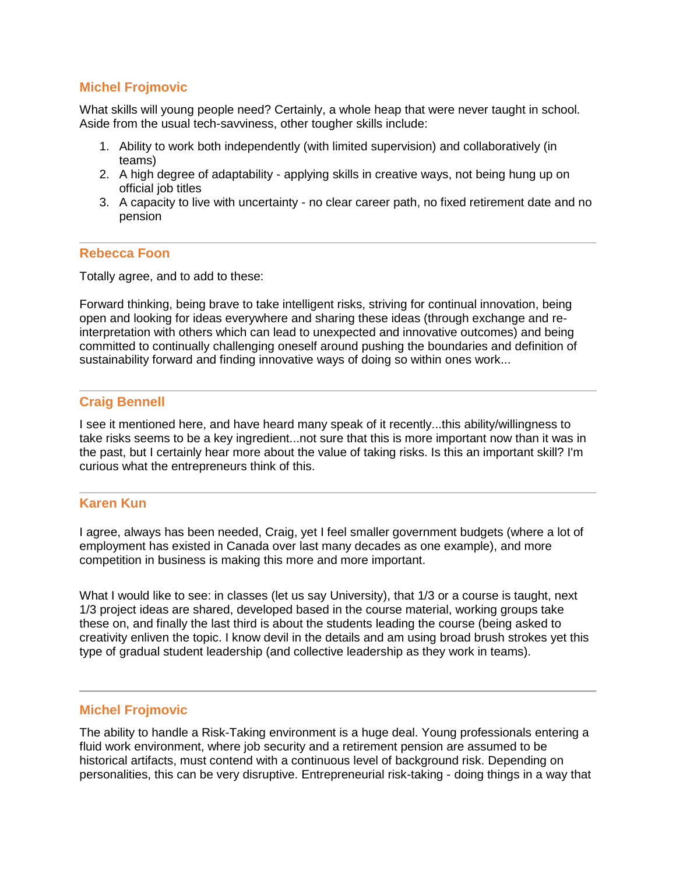# **Michel Frojmovic**

What skills will young people need? Certainly, a whole heap that were never taught in school. Aside from the usual tech-savviness, other tougher skills include:

- 1. Ability to work both independently (with limited supervision) and collaboratively (in teams)
- 2. A high degree of adaptability applying skills in creative ways, not being hung up on official job titles
- 3. A capacity to live with uncertainty no clear career path, no fixed retirement date and no pension

### **Rebecca Foon**

Totally agree, and to add to these:

Forward thinking, being brave to take intelligent risks, striving for continual innovation, being open and looking for ideas everywhere and sharing these ideas (through exchange and reinterpretation with others which can lead to unexpected and innovative outcomes) and being committed to continually challenging oneself around pushing the boundaries and definition of sustainability forward and finding innovative ways of doing so within ones work...

# **Craig Bennell**

I see it mentioned here, and have heard many speak of it recently...this ability/willingness to take risks seems to be a key ingredient...not sure that this is more important now than it was in the past, but I certainly hear more about the value of taking risks. Is this an important skill? I'm curious what the entrepreneurs think of this.

# **Karen Kun**

I agree, always has been needed, Craig, yet I feel smaller government budgets (where a lot of employment has existed in Canada over last many decades as one example), and more competition in business is making this more and more important.

What I would like to see: in classes (let us say University), that 1/3 or a course is taught, next 1/3 project ideas are shared, developed based in the course material, working groups take these on, and finally the last third is about the students leading the course (being asked to creativity enliven the topic. I know devil in the details and am using broad brush strokes yet this type of gradual student leadership (and collective leadership as they work in teams).

### **Michel Frojmovic**

The ability to handle a Risk-Taking environment is a huge deal. Young professionals entering a fluid work environment, where job security and a retirement pension are assumed to be historical artifacts, must contend with a continuous level of background risk. Depending on personalities, this can be very disruptive. Entrepreneurial risk-taking - doing things in a way that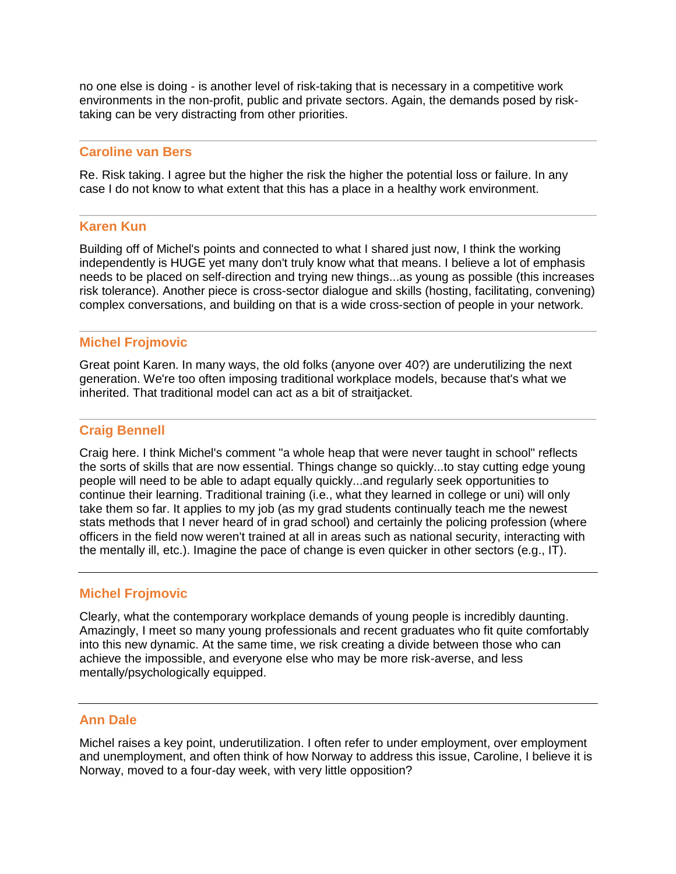no one else is doing - is another level of risk-taking that is necessary in a competitive work environments in the non-profit, public and private sectors. Again, the demands posed by risktaking can be very distracting from other priorities.

### **Caroline van Bers**

Re. Risk taking. I agree but the higher the risk the higher the potential loss or failure. In any case I do not know to what extent that this has a place in a healthy work environment.

# **Karen Kun**

Building off of Michel's points and connected to what I shared just now, I think the working independently is HUGE yet many don't truly know what that means. I believe a lot of emphasis needs to be placed on self-direction and trying new things...as young as possible (this increases risk tolerance). Another piece is cross-sector dialogue and skills (hosting, facilitating, convening) complex conversations, and building on that is a wide cross-section of people in your network.

# **Michel Frojmovic**

Great point Karen. In many ways, the old folks (anyone over 40?) are underutilizing the next generation. We're too often imposing traditional workplace models, because that's what we inherited. That traditional model can act as a bit of straitjacket.

# **Craig Bennell**

Craig here. I think Michel's comment "a whole heap that were never taught in school" reflects the sorts of skills that are now essential. Things change so quickly...to stay cutting edge young people will need to be able to adapt equally quickly...and regularly seek opportunities to continue their learning. Traditional training (i.e., what they learned in college or uni) will only take them so far. It applies to my job (as my grad students continually teach me the newest stats methods that I never heard of in grad school) and certainly the policing profession (where officers in the field now weren't trained at all in areas such as national security, interacting with the mentally ill, etc.). Imagine the pace of change is even quicker in other sectors (e.g., IT).

# **Michel Frojmovic**

Clearly, what the contemporary workplace demands of young people is incredibly daunting. Amazingly, I meet so many young professionals and recent graduates who fit quite comfortably into this new dynamic. At the same time, we risk creating a divide between those who can achieve the impossible, and everyone else who may be more risk-averse, and less mentally/psychologically equipped.

#### **Ann Dale**

Michel raises a key point, underutilization. I often refer to under employment, over employment and unemployment, and often think of how Norway to address this issue, Caroline, I believe it is Norway, moved to a four-day week, with very little opposition?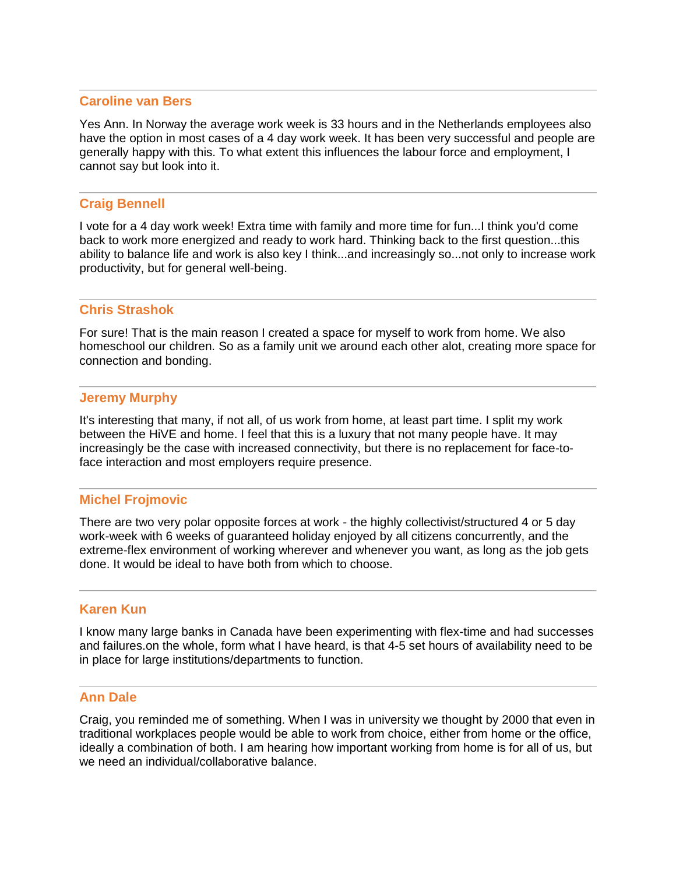#### **Caroline van Bers**

Yes Ann. In Norway the average work week is 33 hours and in the Netherlands employees also have the option in most cases of a 4 day work week. It has been very successful and people are generally happy with this. To what extent this influences the labour force and employment, I cannot say but look into it.

#### **Craig Bennell**

I vote for a 4 day work week! Extra time with family and more time for fun...I think you'd come back to work more energized and ready to work hard. Thinking back to the first question...this ability to balance life and work is also key I think...and increasingly so...not only to increase work productivity, but for general well-being.

### **Chris Strashok**

For sure! That is the main reason I created a space for myself to work from home. We also homeschool our children. So as a family unit we around each other alot, creating more space for connection and bonding.

#### **Jeremy Murphy**

It's interesting that many, if not all, of us work from home, at least part time. I split my work between the HiVE and home. I feel that this is a luxury that not many people have. It may increasingly be the case with increased connectivity, but there is no replacement for face-toface interaction and most employers require presence.

# **Michel Frojmovic**

There are two very polar opposite forces at work - the highly collectivist/structured 4 or 5 day work-week with 6 weeks of guaranteed holiday enjoyed by all citizens concurrently, and the extreme-flex environment of working wherever and whenever you want, as long as the job gets done. It would be ideal to have both from which to choose.

### **Karen Kun**

I know many large banks in Canada have been experimenting with flex-time and had successes and failures.on the whole, form what I have heard, is that 4-5 set hours of availability need to be in place for large institutions/departments to function.

#### **Ann Dale**

Craig, you reminded me of something. When I was in university we thought by 2000 that even in traditional workplaces people would be able to work from choice, either from home or the office, ideally a combination of both. I am hearing how important working from home is for all of us, but we need an individual/collaborative balance.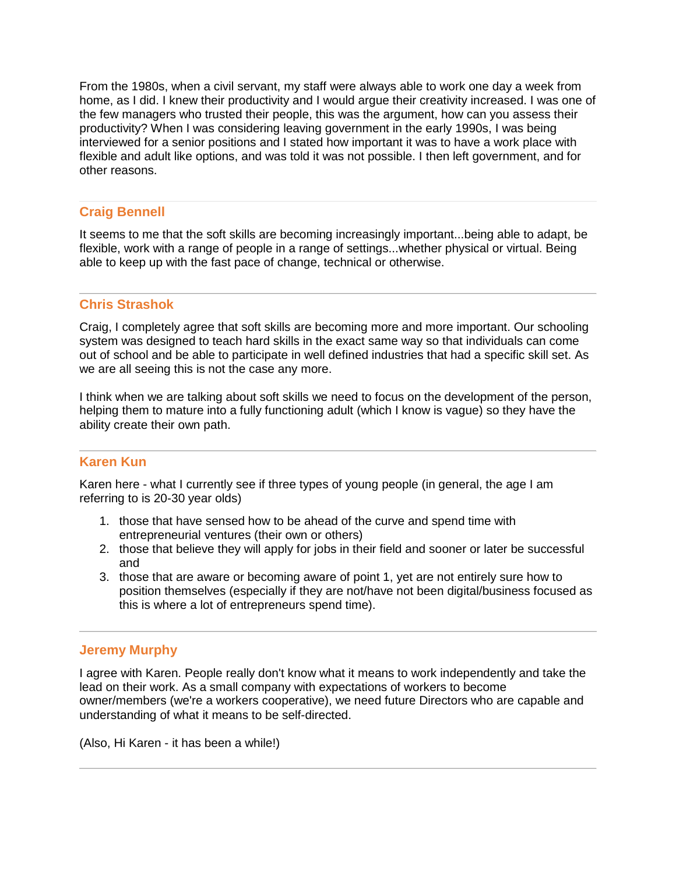From the 1980s, when a civil servant, my staff were always able to work one day a week from home, as I did. I knew their productivity and I would argue their creativity increased. I was one of the few managers who trusted their people, this was the argument, how can you assess their productivity? When I was considering leaving government in the early 1990s, I was being interviewed for a senior positions and I stated how important it was to have a work place with flexible and adult like options, and was told it was not possible. I then left government, and for other reasons.

# **Craig Bennell**

It seems to me that the soft skills are becoming increasingly important...being able to adapt, be flexible, work with a range of people in a range of settings...whether physical or virtual. Being able to keep up with the fast pace of change, technical or otherwise.

# **Chris Strashok**

Craig, I completely agree that soft skills are becoming more and more important. Our schooling system was designed to teach hard skills in the exact same way so that individuals can come out of school and be able to participate in well defined industries that had a specific skill set. As we are all seeing this is not the case any more.

I think when we are talking about soft skills we need to focus on the development of the person, helping them to mature into a fully functioning adult (which I know is vague) so they have the ability create their own path.

# **Karen Kun**

Karen here - what I currently see if three types of young people (in general, the age I am referring to is 20-30 year olds)

- 1. those that have sensed how to be ahead of the curve and spend time with entrepreneurial ventures (their own or others)
- 2. those that believe they will apply for jobs in their field and sooner or later be successful and
- 3. those that are aware or becoming aware of point 1, yet are not entirely sure how to position themselves (especially if they are not/have not been digital/business focused as this is where a lot of entrepreneurs spend time).

# **Jeremy Murphy**

I agree with Karen. People really don't know what it means to work independently and take the lead on their work. As a small company with expectations of workers to become owner/members (we're a workers cooperative), we need future Directors who are capable and understanding of what it means to be self-directed.

(Also, Hi Karen - it has been a while!)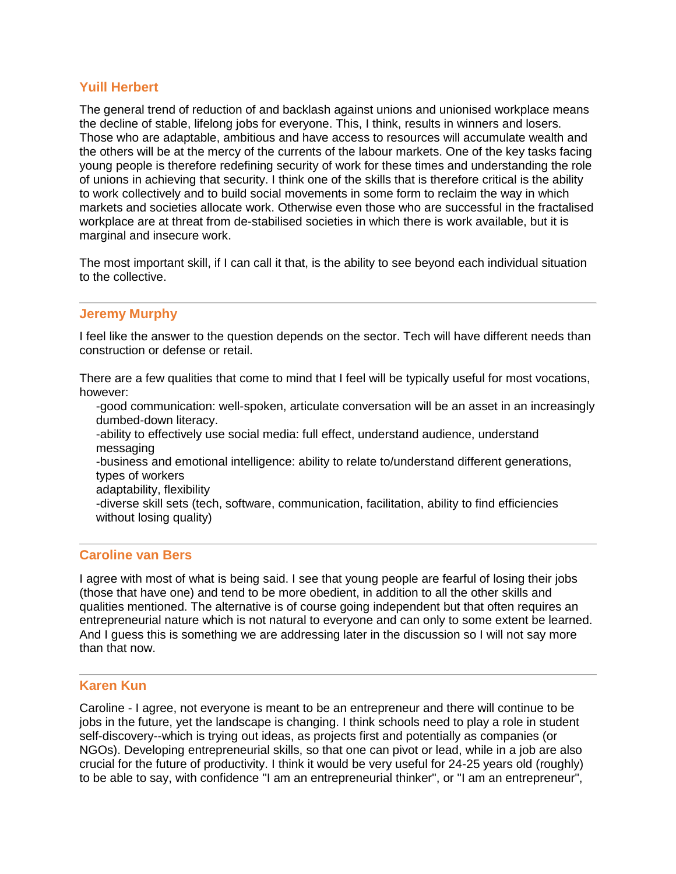# **Yuill Herbert**

The general trend of reduction of and backlash against unions and unionised workplace means the decline of stable, lifelong jobs for everyone. This, I think, results in winners and losers. Those who are adaptable, ambitious and have access to resources will accumulate wealth and the others will be at the mercy of the currents of the labour markets. One of the key tasks facing young people is therefore redefining security of work for these times and understanding the role of unions in achieving that security. I think one of the skills that is therefore critical is the ability to work collectively and to build social movements in some form to reclaim the way in which markets and societies allocate work. Otherwise even those who are successful in the fractalised workplace are at threat from de-stabilised societies in which there is work available, but it is marginal and insecure work.

The most important skill, if I can call it that, is the ability to see beyond each individual situation to the collective.

# **Jeremy Murphy**

I feel like the answer to the question depends on the sector. Tech will have different needs than construction or defense or retail.

There are a few qualities that come to mind that I feel will be typically useful for most vocations, however:

-good communication: well-spoken, articulate conversation will be an asset in an increasingly dumbed-down literacy.

-ability to effectively use social media: full effect, understand audience, understand messaging

-business and emotional intelligence: ability to relate to/understand different generations, types of workers

adaptability, flexibility

-diverse skill sets (tech, software, communication, facilitation, ability to find efficiencies without losing quality)

# **Caroline van Bers**

I agree with most of what is being said. I see that young people are fearful of losing their jobs (those that have one) and tend to be more obedient, in addition to all the other skills and qualities mentioned. The alternative is of course going independent but that often requires an entrepreneurial nature which is not natural to everyone and can only to some extent be learned. And I guess this is something we are addressing later in the discussion so I will not say more than that now.

### **Karen Kun**

Caroline - I agree, not everyone is meant to be an entrepreneur and there will continue to be jobs in the future, yet the landscape is changing. I think schools need to play a role in student self-discovery--which is trying out ideas, as projects first and potentially as companies (or NGOs). Developing entrepreneurial skills, so that one can pivot or lead, while in a job are also crucial for the future of productivity. I think it would be very useful for 24-25 years old (roughly) to be able to say, with confidence "I am an entrepreneurial thinker", or "I am an entrepreneur",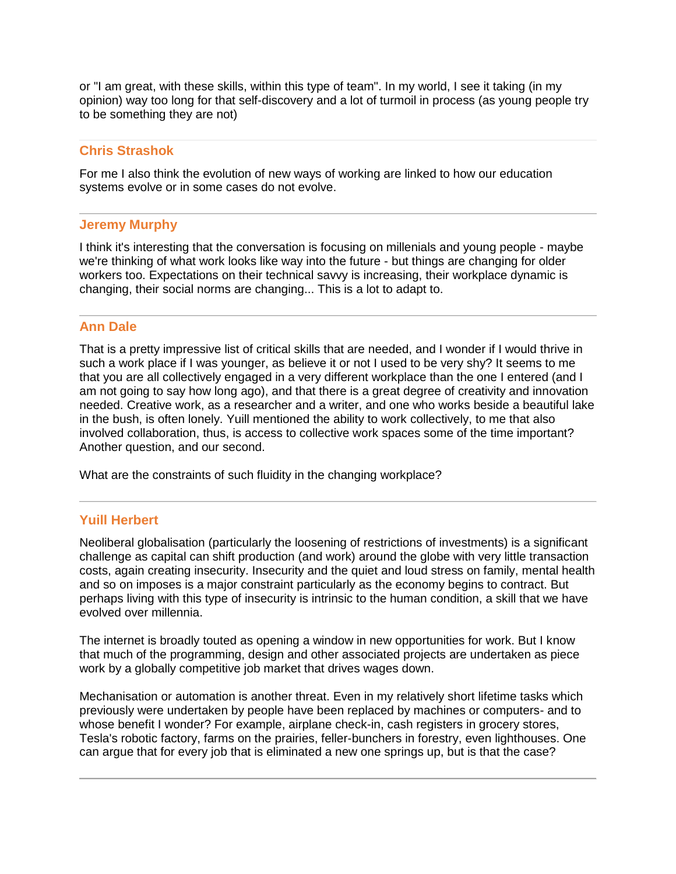or "I am great, with these skills, within this type of team". In my world, I see it taking (in my opinion) way too long for that self-discovery and a lot of turmoil in process (as young people try to be something they are not)

# **Chris Strashok**

For me I also think the evolution of new ways of working are linked to how our education systems evolve or in some cases do not evolve.

# **Jeremy Murphy**

I think it's interesting that the conversation is focusing on millenials and young people - maybe we're thinking of what work looks like way into the future - but things are changing for older workers too. Expectations on their technical savvy is increasing, their workplace dynamic is changing, their social norms are changing... This is a lot to adapt to.

# **Ann Dale**

That is a pretty impressive list of critical skills that are needed, and I wonder if I would thrive in such a work place if I was younger, as believe it or not I used to be very shy? It seems to me that you are all collectively engaged in a very different workplace than the one I entered (and I am not going to say how long ago), and that there is a great degree of creativity and innovation needed. Creative work, as a researcher and a writer, and one who works beside a beautiful lake in the bush, is often lonely. Yuill mentioned the ability to work collectively, to me that also involved collaboration, thus, is access to collective work spaces some of the time important? Another question, and our second.

What are the constraints of such fluidity in the changing workplace?

# **Yuill Herbert**

Neoliberal globalisation (particularly the loosening of restrictions of investments) is a significant challenge as capital can shift production (and work) around the globe with very little transaction costs, again creating insecurity. Insecurity and the quiet and loud stress on family, mental health and so on imposes is a major constraint particularly as the economy begins to contract. But perhaps living with this type of insecurity is intrinsic to the human condition, a skill that we have evolved over millennia.

The internet is broadly touted as opening a window in new opportunities for work. But I know that much of the programming, design and other associated projects are undertaken as piece work by a globally competitive job market that drives wages down.

Mechanisation or automation is another threat. Even in my relatively short lifetime tasks which previously were undertaken by people have been replaced by machines or computers- and to whose benefit I wonder? For example, airplane check-in, cash registers in grocery stores, Tesla's robotic factory, farms on the prairies, feller-bunchers in forestry, even lighthouses. One can argue that for every job that is eliminated a new one springs up, but is that the case?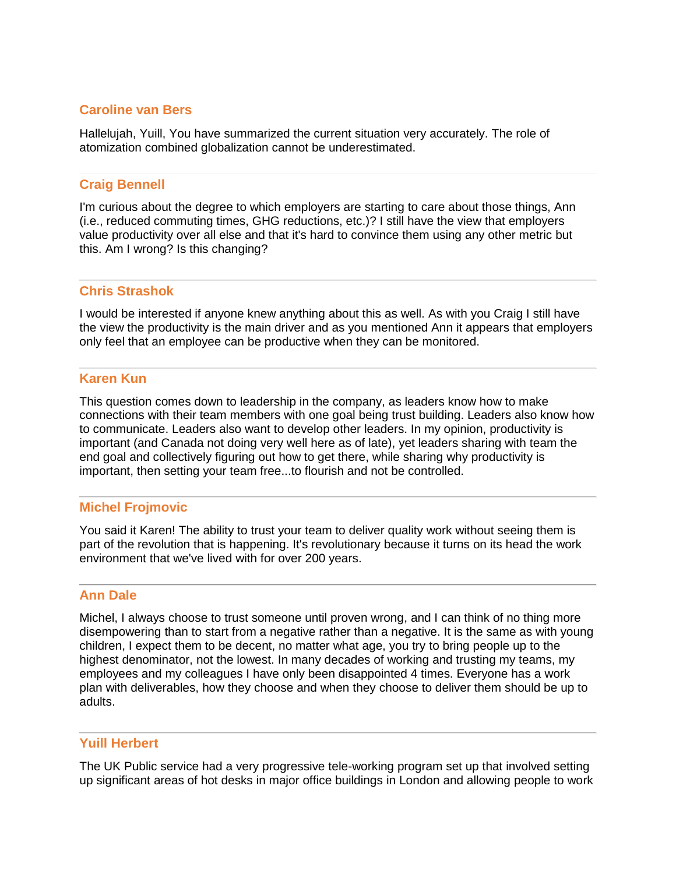# **Caroline van Bers**

Hallelujah, Yuill, You have summarized the current situation very accurately. The role of atomization combined globalization cannot be underestimated.

### **Craig Bennell**

I'm curious about the degree to which employers are starting to care about those things, Ann (i.e., reduced commuting times, GHG reductions, etc.)? I still have the view that employers value productivity over all else and that it's hard to convince them using any other metric but this. Am I wrong? Is this changing?

### **Chris Strashok**

I would be interested if anyone knew anything about this as well. As with you Craig I still have the view the productivity is the main driver and as you mentioned Ann it appears that employers only feel that an employee can be productive when they can be monitored.

# **Karen Kun**

This question comes down to leadership in the company, as leaders know how to make connections with their team members with one goal being trust building. Leaders also know how to communicate. Leaders also want to develop other leaders. In my opinion, productivity is important (and Canada not doing very well here as of late), yet leaders sharing with team the end goal and collectively figuring out how to get there, while sharing why productivity is important, then setting your team free...to flourish and not be controlled.

#### **Michel Frojmovic**

You said it Karen! The ability to trust your team to deliver quality work without seeing them is part of the revolution that is happening. It's revolutionary because it turns on its head the work environment that we've lived with for over 200 years.

#### **Ann Dale**

Michel, I always choose to trust someone until proven wrong, and I can think of no thing more disempowering than to start from a negative rather than a negative. It is the same as with young children, I expect them to be decent, no matter what age, you try to bring people up to the highest denominator, not the lowest. In many decades of working and trusting my teams, my employees and my colleagues I have only been disappointed 4 times. Everyone has a work plan with deliverables, how they choose and when they choose to deliver them should be up to adults.

#### **Yuill Herbert**

The UK Public service had a very progressive tele-working program set up that involved setting up significant areas of hot desks in major office buildings in London and allowing people to work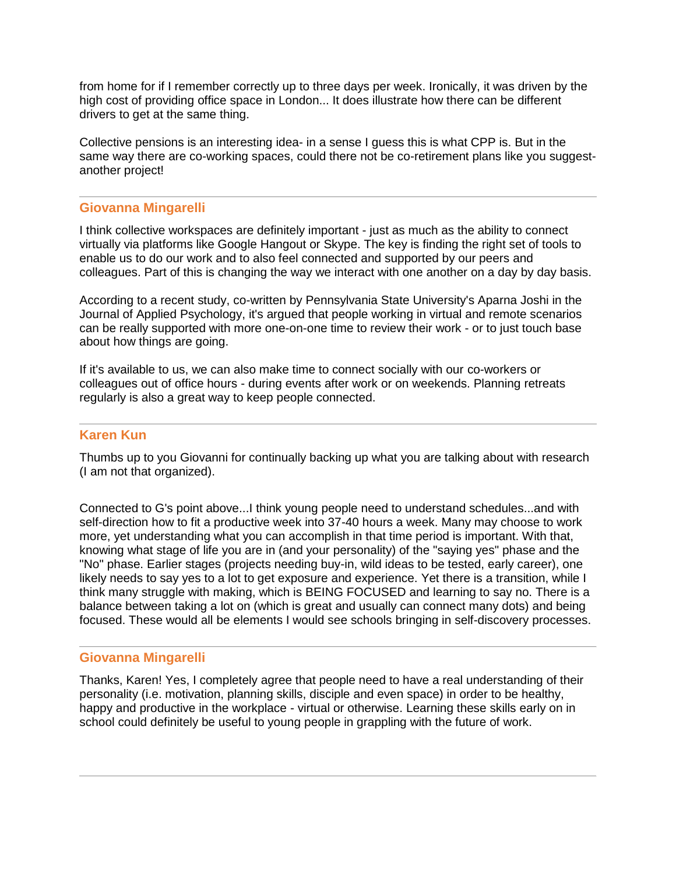from home for if I remember correctly up to three days per week. Ironically, it was driven by the high cost of providing office space in London... It does illustrate how there can be different drivers to get at the same thing.

Collective pensions is an interesting idea- in a sense I guess this is what CPP is. But in the same way there are co-working spaces, could there not be co-retirement plans like you suggestanother project!

### **Giovanna Mingarelli**

I think collective workspaces are definitely important - just as much as the ability to connect virtually via platforms like Google Hangout or Skype. The key is finding the right set of tools to enable us to do our work and to also feel connected and supported by our peers and colleagues. Part of this is changing the way we interact with one another on a day by day basis.

According to a recent study, co-written by Pennsylvania State University's Aparna Joshi in the Journal of Applied Psychology, it's argued that people working in virtual and remote scenarios can be really supported with more one-on-one time to review their work - or to just touch base about how things are going.

If it's available to us, we can also make time to connect socially with our co-workers or colleagues out of office hours - during events after work or on weekends. Planning retreats regularly is also a great way to keep people connected.

### **Karen Kun**

Thumbs up to you Giovanni for continually backing up what you are talking about with research (I am not that organized).

Connected to G's point above...I think young people need to understand schedules...and with self-direction how to fit a productive week into 37-40 hours a week. Many may choose to work more, yet understanding what you can accomplish in that time period is important. With that, knowing what stage of life you are in (and your personality) of the "saying yes" phase and the "No" phase. Earlier stages (projects needing buy-in, wild ideas to be tested, early career), one likely needs to say yes to a lot to get exposure and experience. Yet there is a transition, while I think many struggle with making, which is BEING FOCUSED and learning to say no. There is a balance between taking a lot on (which is great and usually can connect many dots) and being focused. These would all be elements I would see schools bringing in self-discovery processes.

# **Giovanna Mingarelli**

Thanks, Karen! Yes, I completely agree that people need to have a real understanding of their personality (i.e. motivation, planning skills, disciple and even space) in order to be healthy, happy and productive in the workplace - virtual or otherwise. Learning these skills early on in school could definitely be useful to young people in grappling with the future of work.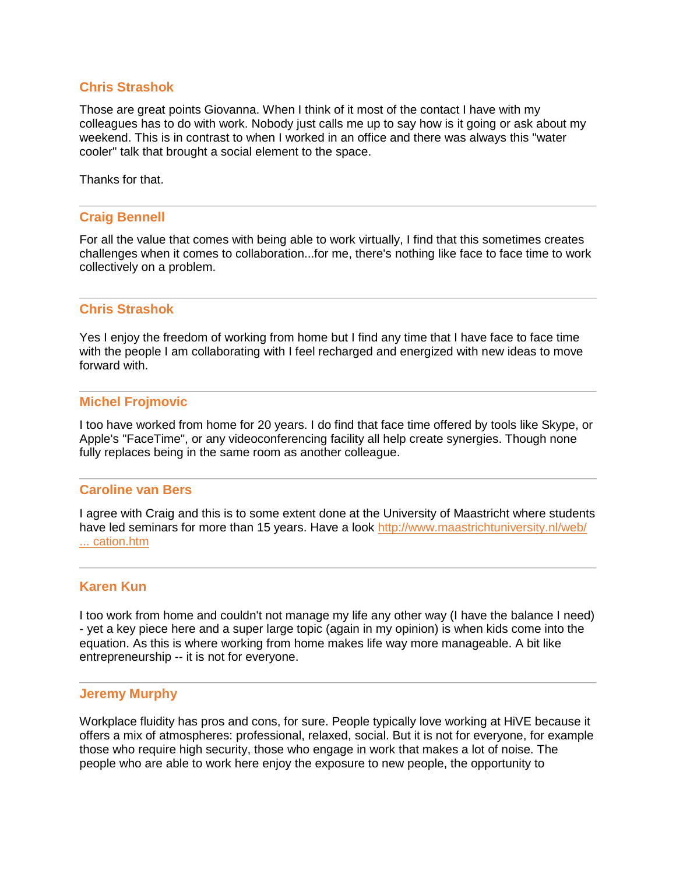# **Chris Strashok**

Those are great points Giovanna. When I think of it most of the contact I have with my colleagues has to do with work. Nobody just calls me up to say how is it going or ask about my weekend. This is in contrast to when I worked in an office and there was always this "water cooler" talk that brought a social element to the space.

Thanks for that.

### **Craig Bennell**

For all the value that comes with being able to work virtually, I find that this sometimes creates challenges when it comes to collaboration...for me, there's nothing like face to face time to work collectively on a problem.

### **Chris Strashok**

Yes I enjoy the freedom of working from home but I find any time that I have face to face time with the people I am collaborating with I feel recharged and energized with new ideas to move forward with.

#### **Michel Frojmovic**

I too have worked from home for 20 years. I do find that face time offered by tools like Skype, or Apple's "FaceTime", or any videoconferencing facility all help create synergies. Though none fully replaces being in the same room as another colleague.

### **Caroline van Bers**

I agree with Craig and this is to some extent done at the University of Maastricht where students have led seminars for more than 15 years. Have a look http://www.maastrichtuniversity.nl/web/ [... cation.htm](http://www.maastrichtuniversity.nl/web/Main/Education.htm)

#### **Karen Kun**

I too work from home and couldn't not manage my life any other way (I have the balance I need) - yet a key piece here and a super large topic (again in my opinion) is when kids come into the equation. As this is where working from home makes life way more manageable. A bit like entrepreneurship -- it is not for everyone.

#### **Jeremy Murphy**

Workplace fluidity has pros and cons, for sure. People typically love working at HiVE because it offers a mix of atmospheres: professional, relaxed, social. But it is not for everyone, for example those who require high security, those who engage in work that makes a lot of noise. The people who are able to work here enjoy the exposure to new people, the opportunity to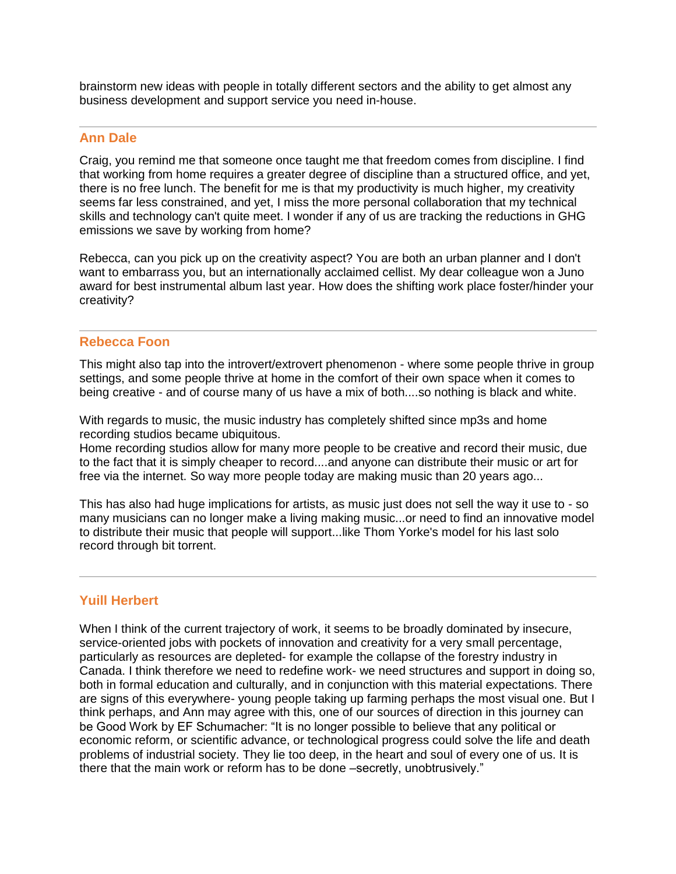brainstorm new ideas with people in totally different sectors and the ability to get almost any business development and support service you need in-house.

### **Ann Dale**

Craig, you remind me that someone once taught me that freedom comes from discipline. I find that working from home requires a greater degree of discipline than a structured office, and yet, there is no free lunch. The benefit for me is that my productivity is much higher, my creativity seems far less constrained, and yet, I miss the more personal collaboration that my technical skills and technology can't quite meet. I wonder if any of us are tracking the reductions in GHG emissions we save by working from home?

Rebecca, can you pick up on the creativity aspect? You are both an urban planner and I don't want to embarrass you, but an internationally acclaimed cellist. My dear colleague won a Juno award for best instrumental album last year. How does the shifting work place foster/hinder your creativity?

### **Rebecca Foon**

This might also tap into the introvert/extrovert phenomenon - where some people thrive in group settings, and some people thrive at home in the comfort of their own space when it comes to being creative - and of course many of us have a mix of both....so nothing is black and white.

With regards to music, the music industry has completely shifted since mp3s and home recording studios became ubiquitous.

Home recording studios allow for many more people to be creative and record their music, due to the fact that it is simply cheaper to record....and anyone can distribute their music or art for free via the internet. So way more people today are making music than 20 years ago...

This has also had huge implications for artists, as music just does not sell the way it use to - so many musicians can no longer make a living making music...or need to find an innovative model to distribute their music that people will support...like Thom Yorke's model for his last solo record through bit torrent.

# **Yuill Herbert**

When I think of the current trajectory of work, it seems to be broadly dominated by insecure, service-oriented jobs with pockets of innovation and creativity for a very small percentage, particularly as resources are depleted- for example the collapse of the forestry industry in Canada. I think therefore we need to redefine work- we need structures and support in doing so, both in formal education and culturally, and in conjunction with this material expectations. There are signs of this everywhere- young people taking up farming perhaps the most visual one. But I think perhaps, and Ann may agree with this, one of our sources of direction in this journey can be Good Work by EF Schumacher: "It is no longer possible to believe that any political or economic reform, or scientific advance, or technological progress could solve the life and death problems of industrial society. They lie too deep, in the heart and soul of every one of us. It is there that the main work or reform has to be done –secretly, unobtrusively."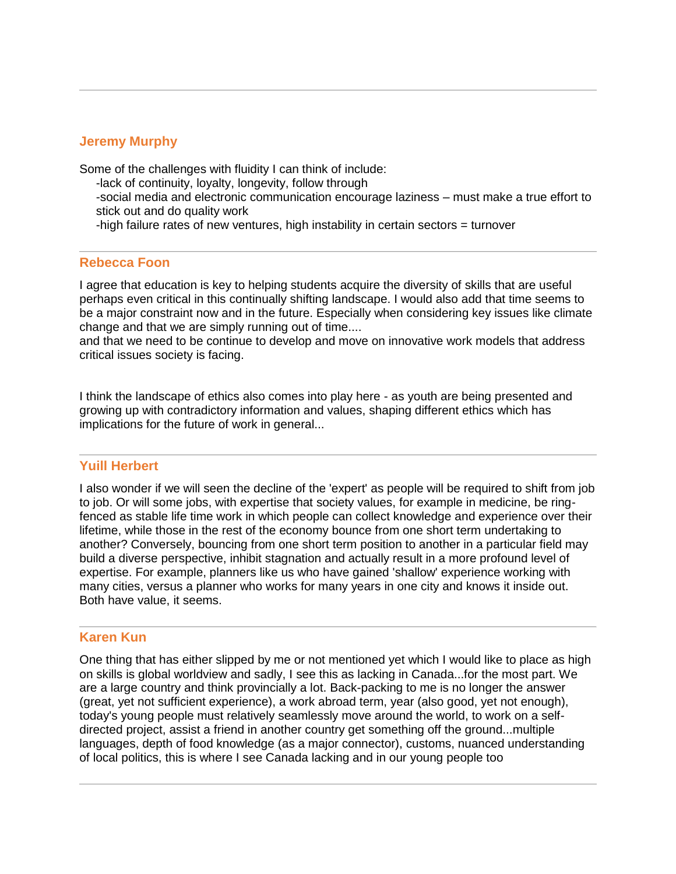# **Jeremy Murphy**

Some of the challenges with fluidity I can think of include:

- -lack of continuity, loyalty, longevity, follow through
- -social media and electronic communication encourage laziness must make a true effort to stick out and do quality work
- -high failure rates of new ventures, high instability in certain sectors = turnover

### **Rebecca Foon**

I agree that education is key to helping students acquire the diversity of skills that are useful perhaps even critical in this continually shifting landscape. I would also add that time seems to be a major constraint now and in the future. Especially when considering key issues like climate change and that we are simply running out of time....

and that we need to be continue to develop and move on innovative work models that address critical issues society is facing.

I think the landscape of ethics also comes into play here - as youth are being presented and growing up with contradictory information and values, shaping different ethics which has implications for the future of work in general...

#### **Yuill Herbert**

I also wonder if we will seen the decline of the 'expert' as people will be required to shift from job to job. Or will some jobs, with expertise that society values, for example in medicine, be ringfenced as stable life time work in which people can collect knowledge and experience over their lifetime, while those in the rest of the economy bounce from one short term undertaking to another? Conversely, bouncing from one short term position to another in a particular field may build a diverse perspective, inhibit stagnation and actually result in a more profound level of expertise. For example, planners like us who have gained 'shallow' experience working with many cities, versus a planner who works for many years in one city and knows it inside out. Both have value, it seems.

# **Karen Kun**

One thing that has either slipped by me or not mentioned yet which I would like to place as high on skills is global worldview and sadly, I see this as lacking in Canada...for the most part. We are a large country and think provincially a lot. Back-packing to me is no longer the answer (great, yet not sufficient experience), a work abroad term, year (also good, yet not enough), today's young people must relatively seamlessly move around the world, to work on a selfdirected project, assist a friend in another country get something off the ground...multiple languages, depth of food knowledge (as a major connector), customs, nuanced understanding of local politics, this is where I see Canada lacking and in our young people too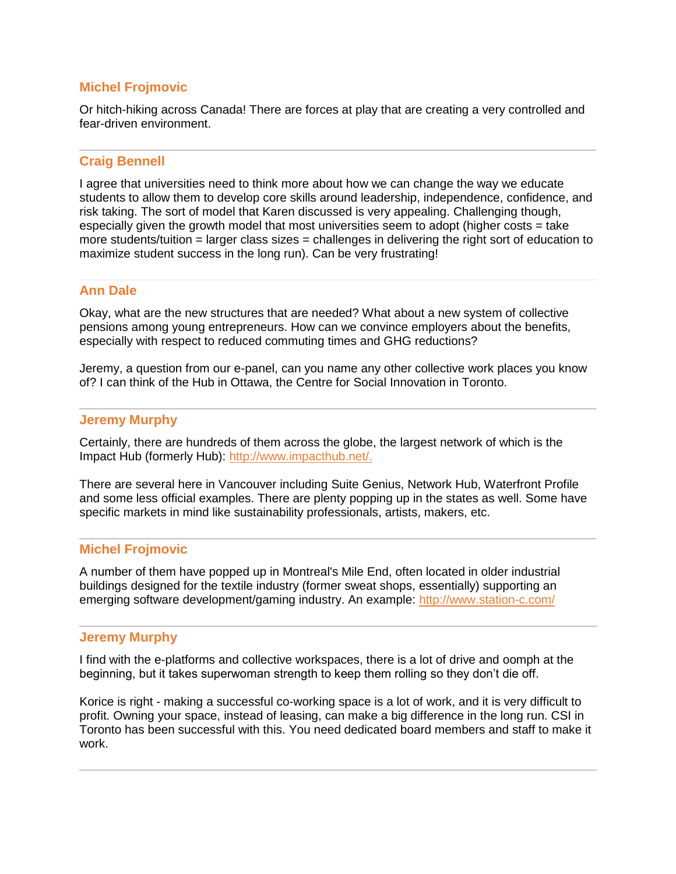# **Michel Frojmovic**

Or hitch-hiking across Canada! There are forces at play that are creating a very controlled and fear-driven environment.

### **Craig Bennell**

I agree that universities need to think more about how we can change the way we educate students to allow them to develop core skills around leadership, independence, confidence, and risk taking. The sort of model that Karen discussed is very appealing. Challenging though, especially given the growth model that most universities seem to adopt (higher costs = take more students/tuition = larger class sizes = challenges in delivering the right sort of education to maximize student success in the long run). Can be very frustrating!

### **Ann Dale**

Okay, what are the new structures that are needed? What about a new system of collective pensions among young entrepreneurs. How can we convince employers about the benefits, especially with respect to reduced commuting times and GHG reductions?

Jeremy, a question from our e-panel, can you name any other collective work places you know of? I can think of the Hub in Ottawa, the Centre for Social Innovation in Toronto.

#### **Jeremy Murphy**

Certainly, there are hundreds of them across the globe, the largest network of which is the Impact Hub (formerly Hub): [http://www.impacthub.net/.](http://www.impacthub.net/)

There are several here in Vancouver including Suite Genius, Network Hub, Waterfront Profile and some less official examples. There are plenty popping up in the states as well. Some have specific markets in mind like sustainability professionals, artists, makers, etc.

#### **Michel Frojmovic**

A number of them have popped up in Montreal's Mile End, often located in older industrial buildings designed for the textile industry (former sweat shops, essentially) supporting an emerging software development/gaming industry. An example: <http://www.station-c.com/>

#### **Jeremy Murphy**

I find with the e-platforms and collective workspaces, there is a lot of drive and oomph at the beginning, but it takes superwoman strength to keep them rolling so they don't die off.

Korice is right - making a successful co-working space is a lot of work, and it is very difficult to profit. Owning your space, instead of leasing, can make a big difference in the long run. CSI in Toronto has been successful with this. You need dedicated board members and staff to make it work.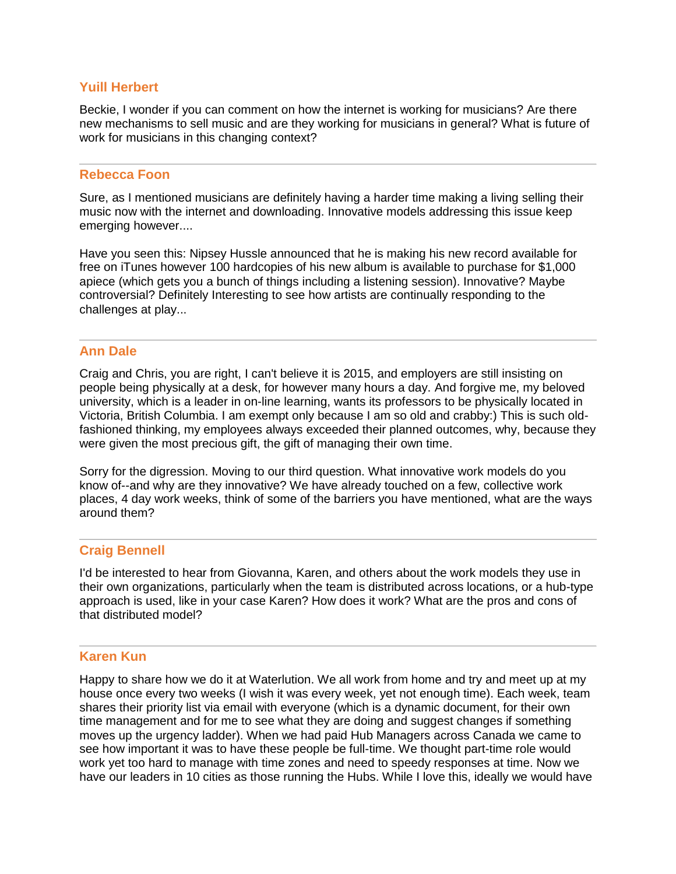# **Yuill Herbert**

Beckie, I wonder if you can comment on how the internet is working for musicians? Are there new mechanisms to sell music and are they working for musicians in general? What is future of work for musicians in this changing context?

### **Rebecca Foon**

Sure, as I mentioned musicians are definitely having a harder time making a living selling their music now with the internet and downloading. Innovative models addressing this issue keep emerging however....

Have you seen this: Nipsey Hussle announced that he is making his new record available for free on iTunes however 100 hardcopies of his new album is available to purchase for \$1,000 apiece (which gets you a bunch of things including a listening session). Innovative? Maybe controversial? Definitely Interesting to see how artists are continually responding to the challenges at play...

### **Ann Dale**

Craig and Chris, you are right, I can't believe it is 2015, and employers are still insisting on people being physically at a desk, for however many hours a day. And forgive me, my beloved university, which is a leader in on-line learning, wants its professors to be physically located in Victoria, British Columbia. I am exempt only because I am so old and crabby:) This is such oldfashioned thinking, my employees always exceeded their planned outcomes, why, because they were given the most precious gift, the gift of managing their own time.

Sorry for the digression. Moving to our third question. What innovative work models do you know of--and why are they innovative? We have already touched on a few, collective work places, 4 day work weeks, think of some of the barriers you have mentioned, what are the ways around them?

# **Craig Bennell**

I'd be interested to hear from Giovanna, Karen, and others about the work models they use in their own organizations, particularly when the team is distributed across locations, or a hub-type approach is used, like in your case Karen? How does it work? What are the pros and cons of that distributed model?

# **Karen Kun**

Happy to share how we do it at Waterlution. We all work from home and try and meet up at my house once every two weeks (I wish it was every week, yet not enough time). Each week, team shares their priority list via email with everyone (which is a dynamic document, for their own time management and for me to see what they are doing and suggest changes if something moves up the urgency ladder). When we had paid Hub Managers across Canada we came to see how important it was to have these people be full-time. We thought part-time role would work yet too hard to manage with time zones and need to speedy responses at time. Now we have our leaders in 10 cities as those running the Hubs. While I love this, ideally we would have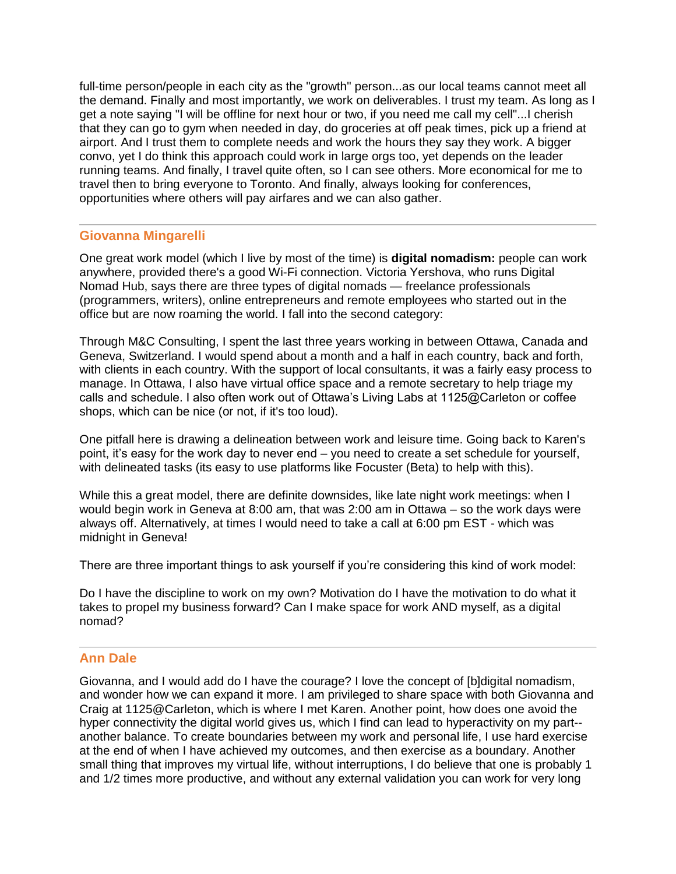full-time person/people in each city as the "growth" person...as our local teams cannot meet all the demand. Finally and most importantly, we work on deliverables. I trust my team. As long as I get a note saying "I will be offline for next hour or two, if you need me call my cell"...I cherish that they can go to gym when needed in day, do groceries at off peak times, pick up a friend at airport. And I trust them to complete needs and work the hours they say they work. A bigger convo, yet I do think this approach could work in large orgs too, yet depends on the leader running teams. And finally, I travel quite often, so I can see others. More economical for me to travel then to bring everyone to Toronto. And finally, always looking for conferences, opportunities where others will pay airfares and we can also gather.

# **Giovanna Mingarelli**

One great work model (which I live by most of the time) is **digital nomadism:** people can work anywhere, provided there's a good Wi-Fi connection. Victoria Yershova, who runs Digital Nomad Hub, says there are three types of digital nomads — freelance professionals (programmers, writers), online entrepreneurs and remote employees who started out in the office but are now roaming the world. I fall into the second category:

Through M&C Consulting, I spent the last three years working in between Ottawa, Canada and Geneva, Switzerland. I would spend about a month and a half in each country, back and forth, with clients in each country. With the support of local consultants, it was a fairly easy process to manage. In Ottawa, I also have virtual office space and a remote secretary to help triage my calls and schedule. I also often work out of Ottawa's Living Labs at 1125@Carleton or coffee shops, which can be nice (or not, if it's too loud).

One pitfall here is drawing a delineation between work and leisure time. Going back to Karen's point, it's easy for the work day to never end – you need to create a set schedule for yourself, with delineated tasks (its easy to use platforms like Focuster (Beta) to help with this).

While this a great model, there are definite downsides, like late night work meetings: when I would begin work in Geneva at 8:00 am, that was 2:00 am in Ottawa – so the work days were always off. Alternatively, at times I would need to take a call at 6:00 pm EST - which was midnight in Geneva!

There are three important things to ask yourself if you're considering this kind of work model:

Do I have the discipline to work on my own? Motivation do I have the motivation to do what it takes to propel my business forward? Can I make space for work AND myself, as a digital nomad?

# **Ann Dale**

Giovanna, and I would add do I have the courage? I love the concept of [b]digital nomadism, and wonder how we can expand it more. I am privileged to share space with both Giovanna and Craig at 1125@Carleton, which is where I met Karen. Another point, how does one avoid the hyper connectivity the digital world gives us, which I find can lead to hyperactivity on my part- another balance. To create boundaries between my work and personal life, I use hard exercise at the end of when I have achieved my outcomes, and then exercise as a boundary. Another small thing that improves my virtual life, without interruptions, I do believe that one is probably 1 and 1/2 times more productive, and without any external validation you can work for very long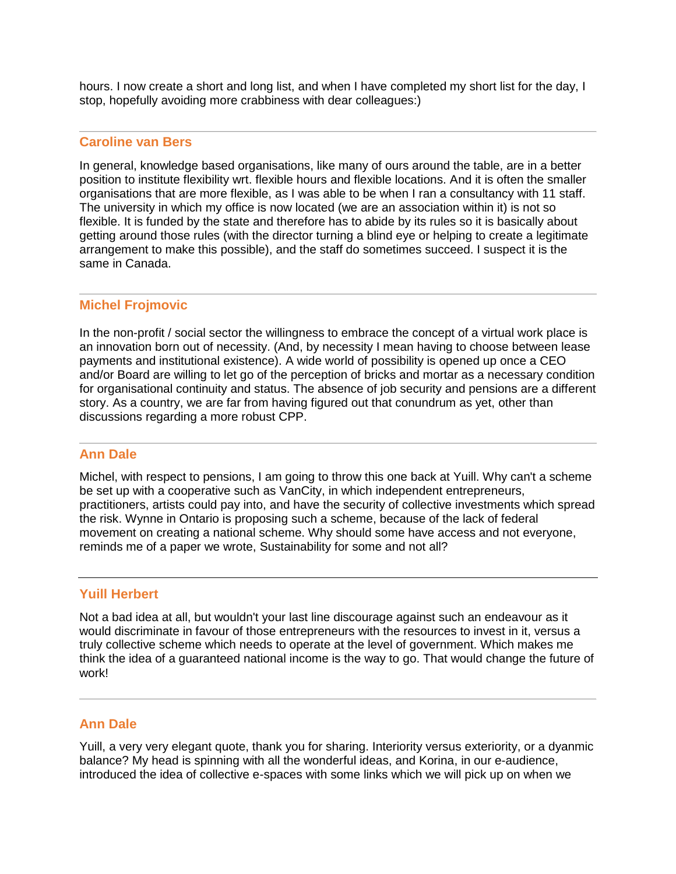hours. I now create a short and long list, and when I have completed my short list for the day, I stop, hopefully avoiding more crabbiness with dear colleagues:)

### **Caroline van Bers**

In general, knowledge based organisations, like many of ours around the table, are in a better position to institute flexibility wrt. flexible hours and flexible locations. And it is often the smaller organisations that are more flexible, as I was able to be when I ran a consultancy with 11 staff. The university in which my office is now located (we are an association within it) is not so flexible. It is funded by the state and therefore has to abide by its rules so it is basically about getting around those rules (with the director turning a blind eye or helping to create a legitimate arrangement to make this possible), and the staff do sometimes succeed. I suspect it is the same in Canada.

# **Michel Frojmovic**

In the non-profit / social sector the willingness to embrace the concept of a virtual work place is an innovation born out of necessity. (And, by necessity I mean having to choose between lease payments and institutional existence). A wide world of possibility is opened up once a CEO and/or Board are willing to let go of the perception of bricks and mortar as a necessary condition for organisational continuity and status. The absence of job security and pensions are a different story. As a country, we are far from having figured out that conundrum as yet, other than discussions regarding a more robust CPP.

#### **Ann Dale**

Michel, with respect to pensions, I am going to throw this one back at Yuill. Why can't a scheme be set up with a cooperative such as VanCity, in which independent entrepreneurs, practitioners, artists could pay into, and have the security of collective investments which spread the risk. Wynne in Ontario is proposing such a scheme, because of the lack of federal movement on creating a national scheme. Why should some have access and not everyone, reminds me of a paper we wrote, Sustainability for some and not all?

### **Yuill Herbert**

Not a bad idea at all, but wouldn't your last line discourage against such an endeavour as it would discriminate in favour of those entrepreneurs with the resources to invest in it, versus a truly collective scheme which needs to operate at the level of government. Which makes me think the idea of a guaranteed national income is the way to go. That would change the future of work!

# **Ann Dale**

Yuill, a very very elegant quote, thank you for sharing. Interiority versus exteriority, or a dyanmic balance? My head is spinning with all the wonderful ideas, and Korina, in our e-audience, introduced the idea of collective e-spaces with some links which we will pick up on when we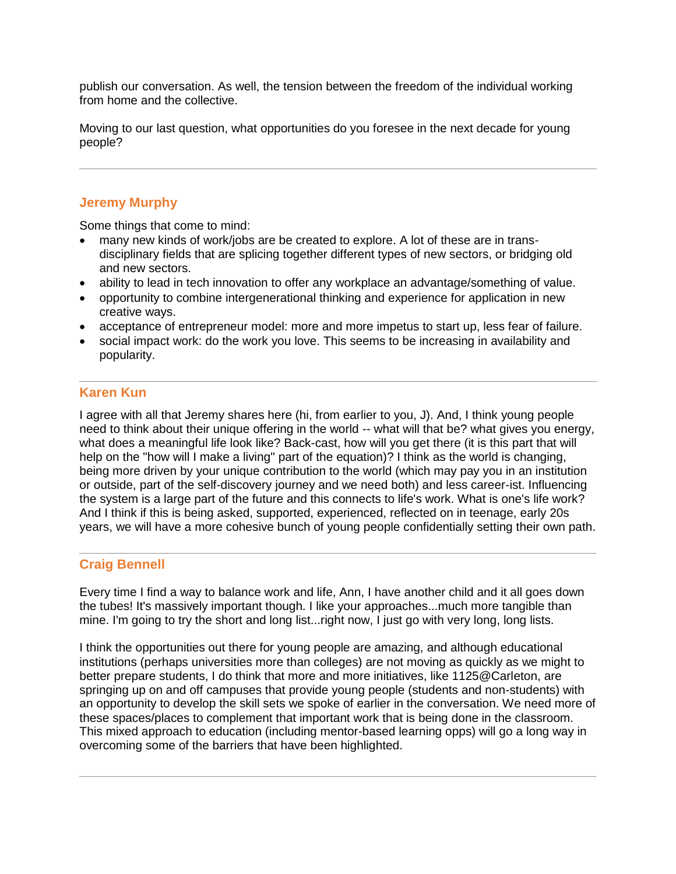publish our conversation. As well, the tension between the freedom of the individual working from home and the collective.

Moving to our last question, what opportunities do you foresee in the next decade for young people?

# **Jeremy Murphy**

Some things that come to mind:

- many new kinds of work/jobs are be created to explore. A lot of these are in transdisciplinary fields that are splicing together different types of new sectors, or bridging old and new sectors.
- ability to lead in tech innovation to offer any workplace an advantage/something of value.
- opportunity to combine intergenerational thinking and experience for application in new creative ways.
- acceptance of entrepreneur model: more and more impetus to start up, less fear of failure.
- social impact work: do the work you love. This seems to be increasing in availability and popularity.

# **Karen Kun**

I agree with all that Jeremy shares here (hi, from earlier to you, J). And, I think young people need to think about their unique offering in the world -- what will that be? what gives you energy, what does a meaningful life look like? Back-cast, how will you get there (it is this part that will help on the "how will I make a living" part of the equation)? I think as the world is changing, being more driven by your unique contribution to the world (which may pay you in an institution or outside, part of the self-discovery journey and we need both) and less career-ist. Influencing the system is a large part of the future and this connects to life's work. What is one's life work? And I think if this is being asked, supported, experienced, reflected on in teenage, early 20s years, we will have a more cohesive bunch of young people confidentially setting their own path.

# **Craig Bennell**

Every time I find a way to balance work and life, Ann, I have another child and it all goes down the tubes! It's massively important though. I like your approaches...much more tangible than mine. I'm going to try the short and long list...right now, I just go with very long, long lists.

I think the opportunities out there for young people are amazing, and although educational institutions (perhaps universities more than colleges) are not moving as quickly as we might to better prepare students, I do think that more and more initiatives, like 1125@Carleton, are springing up on and off campuses that provide young people (students and non-students) with an opportunity to develop the skill sets we spoke of earlier in the conversation. We need more of these spaces/places to complement that important work that is being done in the classroom. This mixed approach to education (including mentor-based learning opps) will go a long way in overcoming some of the barriers that have been highlighted.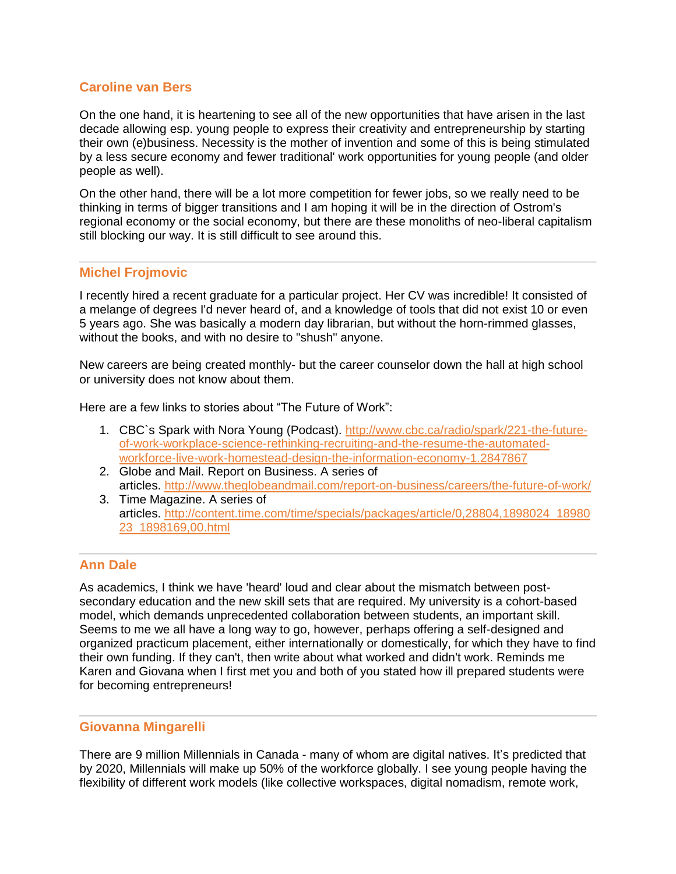# **Caroline van Bers**

On the one hand, it is heartening to see all of the new opportunities that have arisen in the last decade allowing esp. young people to express their creativity and entrepreneurship by starting their own (e)business. Necessity is the mother of invention and some of this is being stimulated by a less secure economy and fewer traditional' work opportunities for young people (and older people as well).

On the other hand, there will be a lot more competition for fewer jobs, so we really need to be thinking in terms of bigger transitions and I am hoping it will be in the direction of Ostrom's regional economy or the social economy, but there are these monoliths of neo-liberal capitalism still blocking our way. It is still difficult to see around this.

# **Michel Frojmovic**

I recently hired a recent graduate for a particular project. Her CV was incredible! It consisted of a melange of degrees I'd never heard of, and a knowledge of tools that did not exist 10 or even 5 years ago. She was basically a modern day librarian, but without the horn-rimmed glasses, without the books, and with no desire to "shush" anyone.

New careers are being created monthly- but the career counselor down the hall at high school or university does not know about them.

Here are a few links to stories about "The Future of Work":

- 1. CBC`s Spark with Nora Young (Podcast). [http://www.cbc.ca/radio/spark/221-the-future](http://www.cbc.ca/radio/spark/221-the-future-of-work-workplace-science-rethinking-recruiting-and-the-resume-the-automated-workforce-live-work-homestead-design-the-information-economy-1.2847867)[of-work-workplace-science-rethinking-recruiting-and-the-resume-the-automated](http://www.cbc.ca/radio/spark/221-the-future-of-work-workplace-science-rethinking-recruiting-and-the-resume-the-automated-workforce-live-work-homestead-design-the-information-economy-1.2847867)[workforce-live-work-homestead-design-the-information-economy-1.2847867](http://www.cbc.ca/radio/spark/221-the-future-of-work-workplace-science-rethinking-recruiting-and-the-resume-the-automated-workforce-live-work-homestead-design-the-information-economy-1.2847867)
- 2. Globe and Mail. Report on Business. A series of articles. <http://www.theglobeandmail.com/report-on-business/careers/the-future-of-work/>
- 3. Time Magazine. A series of articles. [http://content.time.com/time/specials/packages/article/0,28804,1898024\\_18980](http://content.time.com/time/specials/packages/article/0,28804,1898024_1898023_1898169,00.html) [23\\_1898169,00.html](http://content.time.com/time/specials/packages/article/0,28804,1898024_1898023_1898169,00.html)

# **Ann Dale**

As academics, I think we have 'heard' loud and clear about the mismatch between postsecondary education and the new skill sets that are required. My university is a cohort-based model, which demands unprecedented collaboration between students, an important skill. Seems to me we all have a long way to go, however, perhaps offering a self-designed and organized practicum placement, either internationally or domestically, for which they have to find their own funding. If they can't, then write about what worked and didn't work. Reminds me Karen and Giovana when I first met you and both of you stated how ill prepared students were for becoming entrepreneurs!

# **Giovanna Mingarelli**

There are 9 million Millennials in Canada - many of whom are digital natives. It's predicted that by 2020, Millennials will make up 50% of the workforce globally. I see young people having the flexibility of different work models (like collective workspaces, digital nomadism, remote work,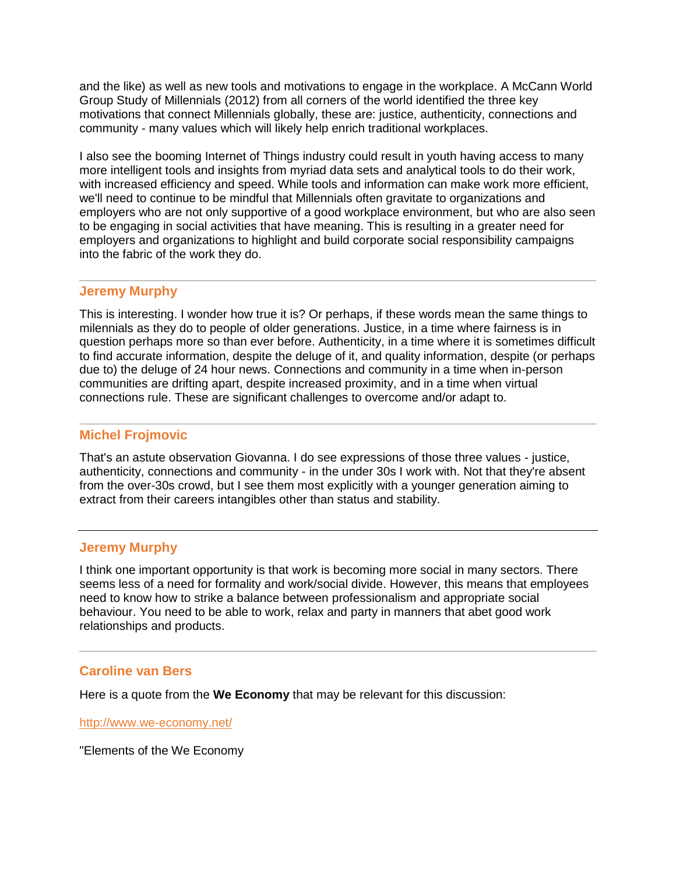and the like) as well as new tools and motivations to engage in the workplace. A McCann World Group Study of Millennials (2012) from all corners of the world identified the three key motivations that connect Millennials globally, these are: justice, authenticity, connections and community - many values which will likely help enrich traditional workplaces.

I also see the booming Internet of Things industry could result in youth having access to many more intelligent tools and insights from myriad data sets and analytical tools to do their work, with increased efficiency and speed. While tools and information can make work more efficient, we'll need to continue to be mindful that Millennials often gravitate to organizations and employers who are not only supportive of a good workplace environment, but who are also seen to be engaging in social activities that have meaning. This is resulting in a greater need for employers and organizations to highlight and build corporate social responsibility campaigns into the fabric of the work they do.

### **Jeremy Murphy**

This is interesting. I wonder how true it is? Or perhaps, if these words mean the same things to milennials as they do to people of older generations. Justice, in a time where fairness is in question perhaps more so than ever before. Authenticity, in a time where it is sometimes difficult to find accurate information, despite the deluge of it, and quality information, despite (or perhaps due to) the deluge of 24 hour news. Connections and community in a time when in-person communities are drifting apart, despite increased proximity, and in a time when virtual connections rule. These are significant challenges to overcome and/or adapt to.

### **Michel Frojmovic**

That's an astute observation Giovanna. I do see expressions of those three values - justice, authenticity, connections and community - in the under 30s I work with. Not that they're absent from the over-30s crowd, but I see them most explicitly with a younger generation aiming to extract from their careers intangibles other than status and stability.

### **Jeremy Murphy**

I think one important opportunity is that work is becoming more social in many sectors. There seems less of a need for formality and work/social divide. However, this means that employees need to know how to strike a balance between professionalism and appropriate social behaviour. You need to be able to work, relax and party in manners that abet good work relationships and products.

#### **Caroline van Bers**

Here is a quote from the **We Economy** that may be relevant for this discussion:

<http://www.we-economy.net/>

"Elements of the We Economy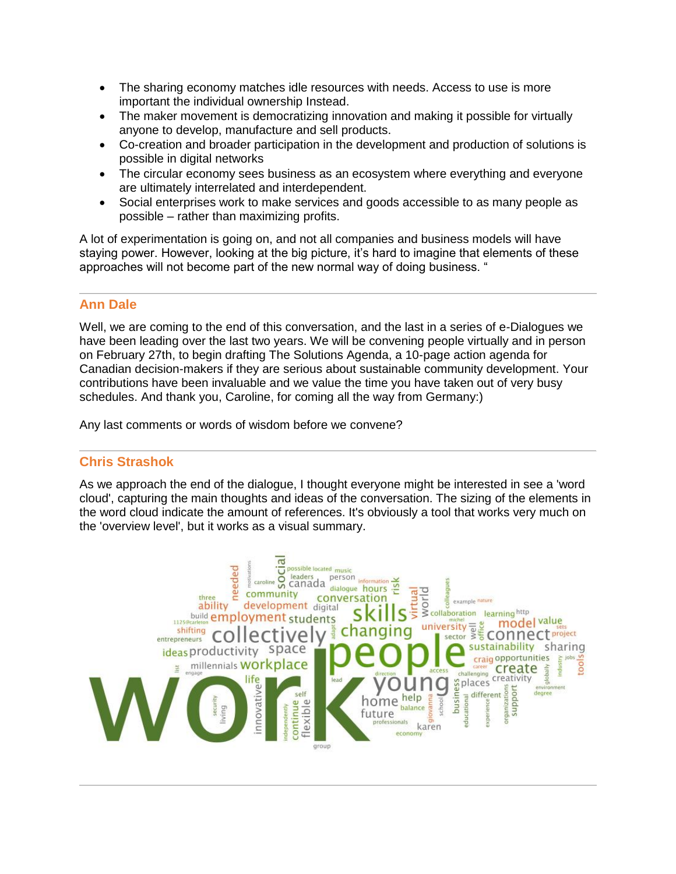- The sharing economy matches idle resources with needs. Access to use is more important the individual ownership Instead.
- The maker movement is democratizing innovation and making it possible for virtually anyone to develop, manufacture and sell products.
- Co-creation and broader participation in the development and production of solutions is possible in digital networks
- The circular economy sees business as an ecosystem where everything and everyone are ultimately interrelated and interdependent.
- Social enterprises work to make services and goods accessible to as many people as possible – rather than maximizing profits.

A lot of experimentation is going on, and not all companies and business models will have staying power. However, looking at the big picture, it's hard to imagine that elements of these approaches will not become part of the new normal way of doing business. "

# **Ann Dale**

Well, we are coming to the end of this conversation, and the last in a series of e-Dialogues we have been leading over the last two years. We will be convening people virtually and in person on February 27th, to begin drafting The Solutions Agenda, a 10-page action agenda for Canadian decision-makers if they are serious about sustainable community development. Your contributions have been invaluable and we value the time you have taken out of very busy schedules. And thank you, Caroline, for coming all the way from Germany:)

Any last comments or words of wisdom before we convene?

# **Chris Strashok**

As we approach the end of the dialogue, I thought everyone might be interested in see a 'word cloud', capturing the main thoughts and ideas of the conversation. The sizing of the elements in the word cloud indicate the amount of references. It's obviously a tool that works very much on the 'overview level', but it works as a visual summary.